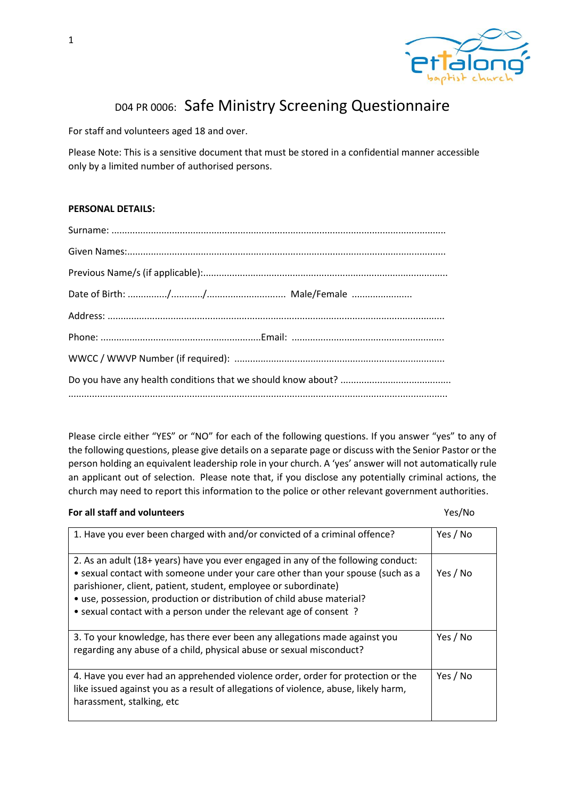

# D04 PR 0006: Safe Ministry Screening Questionnaire

For staff and volunteers aged 18 and over.

Please Note: This is a sensitive document that must be stored in a confidential manner accessible only by a limited number of authorised persons.

## **PERSONAL DETAILS:**

Please circle either "YES" or "NO" for each of the following questions. If you answer "yes" to any of the following questions, please give details on a separate page or discuss with the Senior Pastor or the person holding an equivalent leadership role in your church. A 'yes' answer will not automatically rule an applicant out of selection.  Please note that, if you disclose any potentially criminal actions, the church may need to report this information to the police or other relevant government authorities.

## **For all staff and volunteers** Yes/No

| 1. Have you ever been charged with and/or convicted of a criminal offence?                                                                                                                                                                                                                                                                                                             | Yes / No |
|----------------------------------------------------------------------------------------------------------------------------------------------------------------------------------------------------------------------------------------------------------------------------------------------------------------------------------------------------------------------------------------|----------|
| 2. As an adult (18+ years) have you ever engaged in any of the following conduct:<br>• sexual contact with someone under your care other than your spouse (such as a<br>parishioner, client, patient, student, employee or subordinate)<br>• use, possession, production or distribution of child abuse material?<br>• sexual contact with a person under the relevant age of consent? | Yes / No |
| 3. To your knowledge, has there ever been any allegations made against you<br>regarding any abuse of a child, physical abuse or sexual misconduct?                                                                                                                                                                                                                                     | Yes / No |
| 4. Have you ever had an apprehended violence order, order for protection or the<br>like issued against you as a result of allegations of violence, abuse, likely harm,<br>harassment, stalking, etc                                                                                                                                                                                    | Yes / No |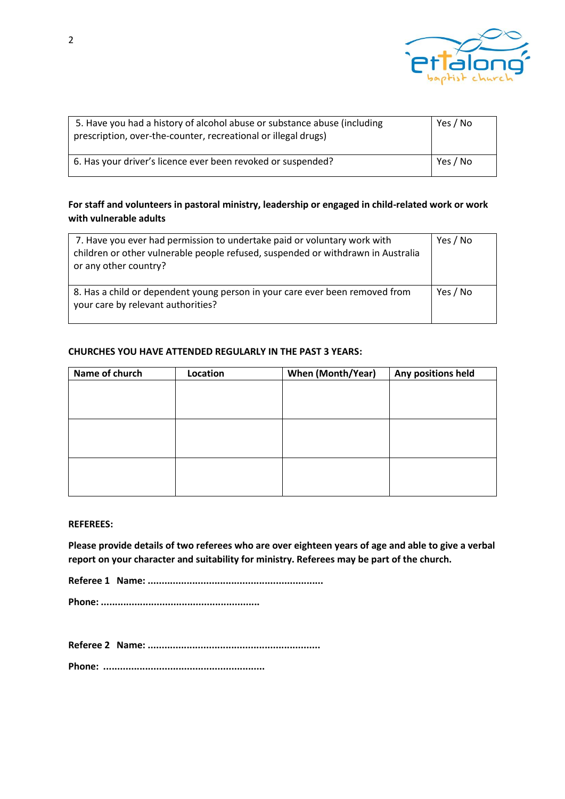

| 5. Have you had a history of alcohol abuse or substance abuse (including<br>prescription, over-the-counter, recreational or illegal drugs) | Yes / No |
|--------------------------------------------------------------------------------------------------------------------------------------------|----------|
| 6. Has your driver's licence ever been revoked or suspended?                                                                               | Yes / No |

## **For staff and volunteers in pastoral ministry, leadership or engaged in child-related work or work with vulnerable adults**

| 7. Have you ever had permission to undertake paid or voluntary work with<br>children or other vulnerable people refused, suspended or withdrawn in Australia<br>or any other country? | Yes / No |
|---------------------------------------------------------------------------------------------------------------------------------------------------------------------------------------|----------|
| 8. Has a child or dependent young person in your care ever been removed from<br>your care by relevant authorities?                                                                    | Yes / No |

## **CHURCHES YOU HAVE ATTENDED REGULARLY IN THE PAST 3 YEARS:**

| Name of church | Location | When (Month/Year) | Any positions held |
|----------------|----------|-------------------|--------------------|
|                |          |                   |                    |
|                |          |                   |                    |
|                |          |                   |                    |
|                |          |                   |                    |
|                |          |                   |                    |
|                |          |                   |                    |
|                |          |                   |                    |
|                |          |                   |                    |
|                |          |                   |                    |

#### **REFEREES:**

**Please provide details of two referees who are over eighteen years of age and able to give a verbal report on your character and suitability for ministry. Referees may be part of the church.** 

**Referee 1  Name: ...............................................................** 

**Phone: .........................................................** 

**Referee 2  Name: ..............................................................** 

**Phone:  ..........................................................**